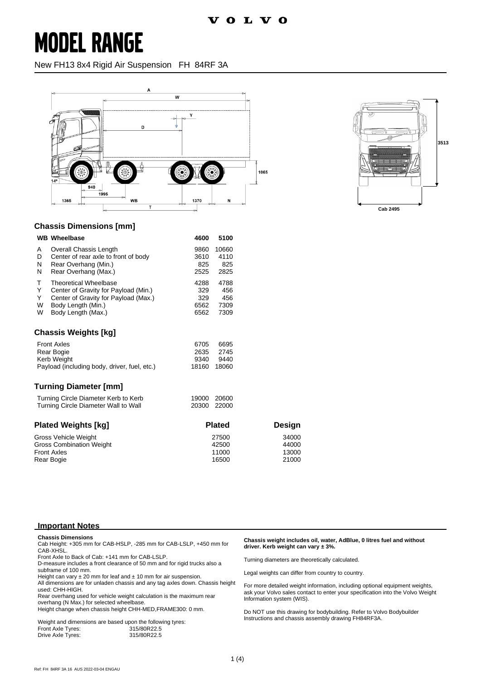### **MODEL RANGE**

New FH13 8x4 Rigid Air Suspension FH 84RF 3A





### **Chassis Dimensions [mm]**

| <b>WB</b> Wheelbase                          | 4600  | 5100  |  |
|----------------------------------------------|-------|-------|--|
| <b>Overall Chassis Length</b><br>A           | 9860  | 10660 |  |
| Center of rear axle to front of body<br>D    | 3610  | 4110  |  |
| N<br>Rear Overhang (Min.)                    | 825   | 825   |  |
| N<br>Rear Overhang (Max.)                    | 2525  | 2825  |  |
| т<br><b>Theoretical Wheelbase</b>            | 4288  | 4788  |  |
| Y<br>Center of Gravity for Payload (Min.)    | 329   | 456   |  |
| Y<br>Center of Gravity for Payload (Max.)    | 329   | 456   |  |
| W<br>Body Length (Min.)                      | 6562  | 7309  |  |
| W<br>Body Length (Max.)                      | 6562  | 7309  |  |
| Chassis Weights [kq]                         |       |       |  |
| <b>Front Axles</b>                           | 6705  | 6695  |  |
| 2635<br>Rear Bogie                           |       | 2745  |  |
| Kerb Weight                                  | 9340  | 9440  |  |
| Payload (including body, driver, fuel, etc.) | 18160 | 18060 |  |

#### **Turning Diameter [mm]**

| Turning Circle Diameter Kerb to Kerb | 19000 20600 |  |
|--------------------------------------|-------------|--|
| Turning Circle Diameter Wall to Wall | 20300 22000 |  |

| <b>Plated Weights [kg]</b>      | <b>Plated</b> | Design |
|---------------------------------|---------------|--------|
| Gross Vehicle Weight            | 27500         | 34000  |
| <b>Gross Combination Weight</b> | 42500         | 44000  |
| <b>Front Axles</b>              | 11000         | 13000  |
| Rear Bogie                      | 16500         | 21000  |

#### **Important Notes**

**Chassis Dimensions** Cab Height: +305 mm for CAB-HSLP, -285 mm for CAB-LSLP, +450 mm for CAB-XHSL.

Front Axle to Back of Cab: +141 mm for CAB-LSLP.

D-measure includes a front clearance of 50 mm and for rigid trucks also a subframe of 100 mm.

Height can vary  $\pm 20$  mm for leaf and  $\pm 10$  mm for air suspension.

All dimensions are for unladen chassis and any tag axles down. Chassis height used: CHH-HIGH.

Rear overhang used for vehicle weight calculation is the maximum rear overhang (N Max.) for selected wheelbase

Height change when chassis height CHH-MED,FRAME300: 0 mm.

|                   | Weight and dimensions are based upon the following tyres: |
|-------------------|-----------------------------------------------------------|
| Front Axle Tyres: | 315/80R22.5                                               |
| Drive Axle Tyres: | 315/80R22.5                                               |

#### **Chassis weight includes oil, water, AdBlue, 0 litres fuel and without driver. Kerb weight can vary ± 3%.**

Turning diameters are theoretically calculated.

Legal weights can differ from country to country.

For more detailed weight information, including optional equipment weights, ask your Volvo sales contact to enter your specification into the Volvo Weight Information system (WIS).

Do NOT use this drawing for bodybuilding. Refer to Volvo Bodybuilder Instructions and chassis assembly drawing FH84RF3A.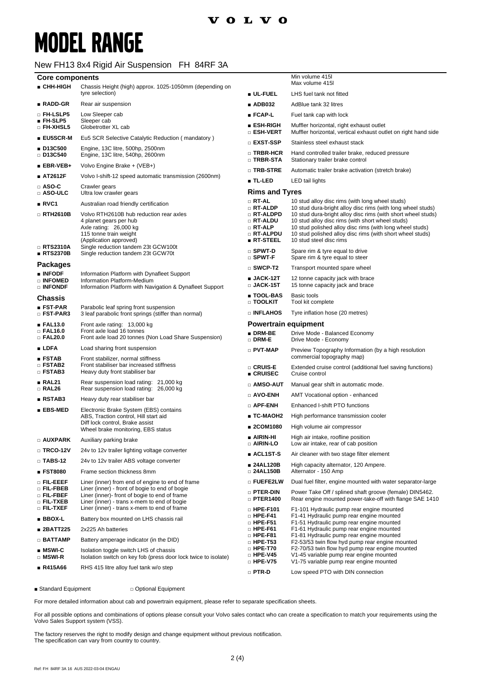Min volume 415l

## **MODEL RANGE**

### New FH13 8x4 Rigid Air Suspension FH 84RF 3A

| <b>Core components</b> |  |  |  |
|------------------------|--|--|--|
|------------------------|--|--|--|

| ■ CHH-HIGH                                                              | Chassis Height (high) approx. 1025-1050mm (depending on                                                                                                                                                                                           |                                                                                   | Max volume 415                                                                                                                                                                                                                                                       |
|-------------------------------------------------------------------------|---------------------------------------------------------------------------------------------------------------------------------------------------------------------------------------------------------------------------------------------------|-----------------------------------------------------------------------------------|----------------------------------------------------------------------------------------------------------------------------------------------------------------------------------------------------------------------------------------------------------------------|
|                                                                         | tyre selection)                                                                                                                                                                                                                                   | ∎ UL-FUEL                                                                         | LHS fuel tank not fitted                                                                                                                                                                                                                                             |
| $RADD-GR$                                                               | Rear air suspension                                                                                                                                                                                                                               | ■ ADB032                                                                          | AdBlue tank 32 litres                                                                                                                                                                                                                                                |
| □ FH-LSLP5                                                              | Low Sleeper cab                                                                                                                                                                                                                                   | ∎ FCAP-L                                                                          | Fuel tank cap with lock                                                                                                                                                                                                                                              |
| $FH-SLP5$<br>$\square$ FH-XHSL5                                         | Sleeper cab<br>Globetrotter XL cab                                                                                                                                                                                                                | ∎ ESH-RIGH<br>□ ESH-VERT                                                          | Muffler horizontal, right exhaust outlet<br>Muffler horizontal, vertical exhaust outlet on right hand side                                                                                                                                                           |
| $\blacksquare$ EU5SCR-M                                                 | Eu5 SCR Selective Catalytic Reduction (mandatory)                                                                                                                                                                                                 | □ EXST-SSP                                                                        | Stainless steel exhaust stack                                                                                                                                                                                                                                        |
| ■ D13C500<br>$\Box$ D13C540                                             | Engine, 13C litre, 500hp, 2500nm<br>Engine, 13C litre, 540hp, 2600nm                                                                                                                                                                              | □ TRBR-HCR<br>$\square$ TRBR-STA                                                  | Hand controlled trailer brake, reduced pressure<br>Stationary trailer brake control                                                                                                                                                                                  |
| $\blacksquare$ EBR-VEB+                                                 | Volvo Engine Brake + (VEB+)                                                                                                                                                                                                                       | □ TRB-STRE                                                                        | Automatic trailer brake activation (stretch brake)                                                                                                                                                                                                                   |
| ■ AT2612F                                                               | Volvo I-shift-12 speed automatic transmission (2600nm)                                                                                                                                                                                            | ■ TL-LED                                                                          | LED tail lights                                                                                                                                                                                                                                                      |
| $\square$ ASO-C<br>$\square$ ASO-ULC                                    | Crawler gears<br>Ultra low crawler gears                                                                                                                                                                                                          | <b>Rims and Tyres</b>                                                             |                                                                                                                                                                                                                                                                      |
| RVC1                                                                    | Australian road friendly certification                                                                                                                                                                                                            | $\Box$ RT-AL<br>$\square$ RT-ALDP                                                 | 10 stud alloy disc rims (with long wheel studs)<br>10 stud dura-bright alloy disc rims (with long wheel studs)                                                                                                                                                       |
| $\Box$ RTH2610B<br>□ RTS2310A                                           | Volvo RTH2610B hub reduction rear axles<br>4 planet gears per hub<br>Axle rating: 26,000 kg<br>115 tonne train weight<br>(Application approved)<br>Single reduction tandem 23t GCW100t                                                            | □ RT-ALDPD<br>$\Box$ RT-ALDU<br>□ RT-ALP<br>□ RT-ALPDU<br>$\blacksquare$ RT-STEEL | 10 stud dura-bright alloy disc rims (with short wheel studs)<br>10 stud alloy disc rims (with short wheel studs)<br>10 stud polished alloy disc rims (with long wheel studs)<br>10 stud polished alloy disc rims (with short wheel studs)<br>10 stud steel disc rims |
| RTS2370B                                                                | Single reduction tandem 23t GCW70t                                                                                                                                                                                                                | □ SPWT-D<br>$\square$ SPWT-F                                                      | Spare rim & tyre equal to drive<br>Spare rim & tyre equal to steer                                                                                                                                                                                                   |
| <b>Packages</b>                                                         |                                                                                                                                                                                                                                                   | $\square$ SWCP-T2                                                                 | Transport mounted spare wheel                                                                                                                                                                                                                                        |
| <b>NFODE</b><br>□ INFOMED<br>□ INFONDF                                  | Information Platform with Dynafleet Support<br>Information Platform-Medium<br>Information Platform with Navigation & Dynafleet Support                                                                                                            | $\blacksquare$ JACK-12T<br>$\scriptstyle\Box$ JACK-15T                            | 12 tonne capacity jack with brace<br>15 tonne capacity jack and brace                                                                                                                                                                                                |
| <b>Chassis</b>                                                          |                                                                                                                                                                                                                                                   | ∎ TOOL-BAS<br>$\Box$ TOOLKIT                                                      | Basic tools<br>Tool kit complete                                                                                                                                                                                                                                     |
| ■ FST-PAR<br>$\square$ FST-PAR3                                         | Parabolic leaf spring front suspension<br>3 leaf parabolic front springs (stiffer than normal)                                                                                                                                                    | <b>DINFLAHOS</b>                                                                  | Tyre inflation hose (20 metres)                                                                                                                                                                                                                                      |
| EAL13.0                                                                 | Front axle rating: 13,000 kg                                                                                                                                                                                                                      | <b>Powertrain equipment</b>                                                       |                                                                                                                                                                                                                                                                      |
| $\square$ FAL16.0<br>$\Box$ FAL20.0                                     | Front axle load 16 tonnes<br>Front axle load 20 tonnes (Non Load Share Suspension)                                                                                                                                                                | $\blacksquare$ DRM-BE<br>$\square$ DRM-E                                          | Drive Mode - Balanced Economy<br>Drive Mode - Economy                                                                                                                                                                                                                |
| $\blacksquare$ LDFA                                                     | Load sharing front suspension                                                                                                                                                                                                                     | $\Box$ PVT-MAP                                                                    | Preview Topography Information (by a high resolution                                                                                                                                                                                                                 |
| ESTAB<br>$\square$ FSTAB2<br>$\square$ FSTAB3                           | Front stabilizer, normal stiffness<br>Front stabiliser bar increased stiffness<br>Heavy duty front stabiliser bar                                                                                                                                 | □ CRUIS-E                                                                         | commercial topography map)<br>Extended cruise control (additional fuel saving functions)                                                                                                                                                                             |
| RAL21                                                                   | Rear suspension load rating: 21,000 kg                                                                                                                                                                                                            | $\blacksquare$ CRUISEC<br>□ AMSO-AUT                                              | Cruise control<br>Manual gear shift in automatic mode.                                                                                                                                                                                                               |
| $\Box$ RAL26                                                            | Rear suspension load rating: 26,000 kg                                                                                                                                                                                                            | □ AVO-ENH                                                                         | AMT Vocational option - enhanced                                                                                                                                                                                                                                     |
| RSTAB3                                                                  | Heavy duty rear stabiliser bar                                                                                                                                                                                                                    | □ APF-ENH                                                                         | Enhanced I-shift PTO functions                                                                                                                                                                                                                                       |
| ■ EBS-MED                                                               | Electronic Brake System (EBS) contains<br>ABS, Traction control, Hill start aid                                                                                                                                                                   | ∎ TC-MAOH2                                                                        | High performance transmission cooler                                                                                                                                                                                                                                 |
|                                                                         | Diff lock control, Brake assist                                                                                                                                                                                                                   | ■ 2COM1080                                                                        | High volume air compressor                                                                                                                                                                                                                                           |
|                                                                         | Wheel brake monitoring, EBS status                                                                                                                                                                                                                | ∎ AIRIN-HI                                                                        | High air intake, roofline position                                                                                                                                                                                                                                   |
| $\square$ AUXPARK                                                       | Auxiliary parking brake                                                                                                                                                                                                                           | □ AIRIN-LO                                                                        | Low air intake, rear of cab position                                                                                                                                                                                                                                 |
| $\Box$ TRCO-12V                                                         | 24v to 12v trailer lighting voltage converter                                                                                                                                                                                                     | ∎ ACL1ST-S                                                                        | Air cleaner with two stage filter element                                                                                                                                                                                                                            |
| $\Box$ TABS-12                                                          | 24v to 12v trailer ABS voltage converter                                                                                                                                                                                                          | ■ 24AL120B                                                                        | High capacity alternator, 120 Ampere.                                                                                                                                                                                                                                |
| ■ FST8080                                                               | Frame section thickness 8mm                                                                                                                                                                                                                       | □ 24AL150B                                                                        | Alternator - 150 Amp                                                                                                                                                                                                                                                 |
| o Fil-EEEF<br>o Fil-FBEB<br>o Fil-FBEF<br>□ FIL-TXEB<br>$\Box$ Fil-txef | Liner (inner) from end of engine to end of frame<br>Liner (inner) - front of bogie to end of bogie<br>Liner (inner)- front of bogie to end of frame<br>Liner (inner) - trans x-mem to end of bogie<br>Liner (inner) - trans x-mem to end of frame | o Fuefe2lw<br>$\square$ PTER-DIN<br>$\Box$ PTER1400                               | Dual fuel filter, engine mounted with water separator-large<br>Power Take Off / splined shaft groove (female) DIN5462.<br>Rear engine mounted power-take-off with flange SAE 1410                                                                                    |
| $BBOX-L$                                                                | Battery box mounted on LHS chassis rail                                                                                                                                                                                                           | $\square$ HPE-F101<br>$\square$ HPE-F41                                           | F1-101 Hydraulic pump rear engine mounted<br>F1-41 Hydraulic pump rear engine mounted                                                                                                                                                                                |
| ■ 2BATT225                                                              | 2x225 Ah batteries                                                                                                                                                                                                                                | $\Box$ HPE-F51<br>$\square$ HPE-F61                                               | F1-51 Hydraulic pump rear engine mounted<br>F1-61 Hydraulic pump rear engine mounted                                                                                                                                                                                 |
| $\Box$ BATTAMP                                                          | Battery amperage indicator (in the DID)                                                                                                                                                                                                           | $\square$ HPE-F81                                                                 | F1-81 Hydraulic pump rear engine mounted                                                                                                                                                                                                                             |
| $MSWI-C$<br>$\square$ MSWI-R                                            | Isolation toggle switch LHS of chassis<br>Isolation switch on key fob (press door lock twice to isolate)                                                                                                                                          | $\Box$ HPE-T53<br>$\Box$ HPE-T70<br>$\square$ HPE-V45                             | F2-53/53 twin flow hyd pump rear engine mounted<br>F2-70/53 twin flow hyd pump rear engine mounted<br>V1-45 variable pump rear engine mounted                                                                                                                        |
| ■ R415A66                                                               | RHS 415 litre alloy fuel tank w/o step                                                                                                                                                                                                            | $\Box$ HPE-V75                                                                    | V1-75 variable pump rear engine mounted                                                                                                                                                                                                                              |
|                                                                         |                                                                                                                                                                                                                                                   | $\square$ PTR-D                                                                   | Low speed PTO with DIN connection                                                                                                                                                                                                                                    |

■ Standard Equipment □ ○ Optional Equipment

For more detailed information about cab and powertrain equipment, please refer to separate specification sheets.

For all possible options and combinations of options please consult your Volvo sales contact who can create a specification to match your requirements using the Volvo Sales Support system (VSS).

The factory reserves the right to modify design and change equipment without previous notification. The specification can vary from country to country.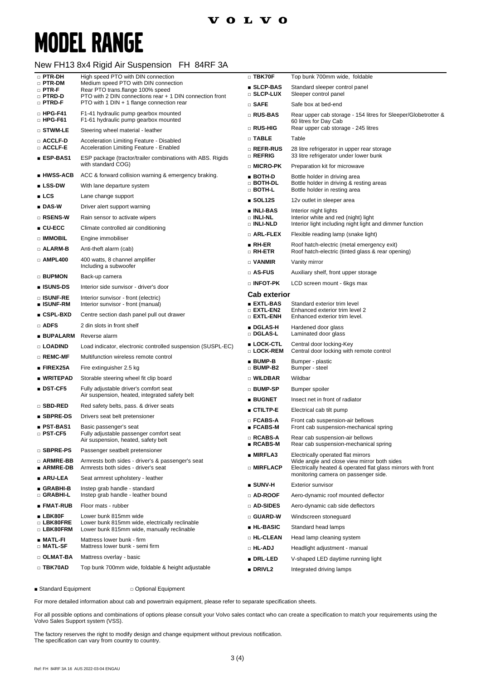# **MODEL RANGE**

### New FH13 8x4 Rigid Air Suspension FH 84RF 3A

| $\Box$ PTR-DH                    | High speed PTO with DIN connection                                                                    | $\Box$ TBK70F                              | Top bunk 700mm wide, foldable                                                                               |
|----------------------------------|-------------------------------------------------------------------------------------------------------|--------------------------------------------|-------------------------------------------------------------------------------------------------------------|
| $\Box$ PTR-DM<br>$\square$ PTR-F | Medium speed PTO with DIN connection<br>Rear PTO trans.flange 100% speed                              | ■ SLCP-BAS                                 | Standard sleeper control panel                                                                              |
| □ PTRD-D<br>$\square$ PTRD-F     | PTO with 2 DIN connections rear + 1 DIN connection front<br>PTO with 1 DIN + 1 flange connection rear | □ SLCP-LUX                                 | Sleeper control panel                                                                                       |
| $\Box$ HPG-F41                   |                                                                                                       | $\square$ SAFE                             | Safe box at bed-end                                                                                         |
| $\Box$ HPG-F61                   | F1-41 hydraulic pump gearbox mounted<br>F1-61 hydraulic pump gearbox mounted                          | □ RUS-BAS                                  | Rear upper cab storage - 154 litres for Sleeper/Globetrotter &<br>60 litres for Day Cab                     |
| $\square$ stwm-le                | Steering wheel material - leather                                                                     | □ RUS-HIG                                  | Rear upper cab storage - 245 litres                                                                         |
| □ ACCLF-D<br>□ ACCLF-E           | Acceleration Limiting Feature - Disabled<br>Acceleration Limiting Feature - Enabled                   | $\square$ TABLE<br>□ REFR-RUS              | Table                                                                                                       |
| ∎ ESP-BAS1                       | ESP package (tractor/trailer combinations with ABS. Rigids                                            | $\square$ refrig                           | 28 litre refrigerator in upper rear storage<br>33 litre refrigerator under lower bunk                       |
|                                  | with standard COG)                                                                                    | □ MICRO-PK                                 | Preparation kit for microwave                                                                               |
| ∎ HWSS-ACB                       | ACC & forward collision warning & emergency braking.                                                  | $BOTH-D$<br>□ BOTH-DL                      | Bottle holder in driving area<br>Bottle holder in driving & resting areas                                   |
| $\blacksquare$ LSS-DW            | With lane departure system                                                                            | □ BOTH-L                                   | Bottle holder in resting area                                                                               |
| LCS                              | Lane change support                                                                                   | $\blacksquare$ SOL12S                      | 12v outlet in sleeper area                                                                                  |
| $\blacksquare$ DAS-W             | Driver alert support warning                                                                          | ■ INLI-BAS                                 | Interior night lights                                                                                       |
| □ RSENS-W                        | Rain sensor to activate wipers                                                                        | □ INLI-NL<br>□ INLI-NLD                    | Interior white and red (night) light<br>Interior light including night light and dimmer function            |
| $\blacksquare$ CU-ECC            | Climate controlled air conditioning                                                                   | $\square$ ARL-FLEX                         | Flexible reading lamp (snake light)                                                                         |
| □ IMMOBIL                        | Engine immobiliser                                                                                    | $\blacksquare$ RH-ER                       | Roof hatch-electric (metal emergency exit)                                                                  |
| □ ALARM-B                        | Anti-theft alarm (cab)                                                                                | □ RH-ETR                                   | Roof hatch-electric (tinted glass & rear opening)                                                           |
| $\Box$ AMPL400                   | 400 watts, 8 channel amplifier<br>Including a subwoofer                                               | $\Box$ VANMIR                              | Vanity mirror                                                                                               |
| <b>BUPMON</b>                    | Back-up camera                                                                                        | $\square$ AS-FUS                           | Auxiliary shelf, front upper storage                                                                        |
| ∎ ISUNS-DS                       | Interior side sunvisor - driver's door                                                                | $\Box$ INFOT-PK                            | LCD screen mount - 6kgs max                                                                                 |
| □ ISUNF-RE                       | Interior sunvisor - front (electric)                                                                  | <b>Cab exterior</b>                        |                                                                                                             |
| ■ ISUNF-RM                       | Interior sunvisor - front (manual)                                                                    | ■ EXTL-BAS<br>$\square$ extl-en2           | Standard exterior trim level<br>Enhanced exterior trim level 2                                              |
| $\blacksquare$ CSPL-BXD          | Centre section dash panel pull out drawer                                                             | $\square$ extl-enh                         | Enhanced exterior trim level.                                                                               |
| □ ADFS<br>∎ BUPALARM             | 2 din slots in front shelf<br>Reverse alarm                                                           | ■ DGLAS-H<br>□ DGLAS-L                     | Hardened door glass<br>Laminated door glass                                                                 |
| □ LOADIND                        | Load indicator, electronic controlled suspension (SUSPL-EC)                                           | ■ LOCK-CTL                                 | Central door locking-Key                                                                                    |
| $\Box$ REMC-MF                   | Multifunction wireless remote control                                                                 | □ LOCK-REM                                 | Central door locking with remote control                                                                    |
| $\blacksquare$ FIREX25A          | Fire extinguisher 2.5 kg                                                                              | $\blacksquare$ BUMP-B<br>$\square$ BUMP-B2 | Bumper - plastic<br>Bumper - steel                                                                          |
| ∎ WRITEPAD                       | Storable steering wheel fit clip board                                                                | □ WILDBAR                                  | Wildbar                                                                                                     |
| ∎ DST-CF5                        | Fully adjustable driver's comfort seat                                                                | □ BUMP-SP                                  | Bumper spoiler                                                                                              |
|                                  | Air suspension, heated, integrated safety belt                                                        | $\blacksquare$ BUGNET                      | Insect net in front of radiator                                                                             |
| □ SBD-RED                        | Red safety belts, pass. & driver seats                                                                | ■ CTILTP-E                                 | Electrical cab tilt pump                                                                                    |
| $\blacksquare$ SBPRE-DS          | Drivers seat belt pretensioner                                                                        | $\square$ FCABS-A                          | Front cab suspension-air bellows                                                                            |
| ∎ PST-BAS1<br>□ PST-CF5          | Basic passenger's seat<br>Fully adjustable passenger comfort seat                                     | $\blacksquare$ FCABS-M                     | Front cab suspension-mechanical spring                                                                      |
|                                  | Air suspension, heated, safety belt                                                                   | $\square$ RCABS-A<br>$RCABS-M$             | Rear cab suspension-air bellows<br>Rear cab suspension-mechanical spring                                    |
| □ SBPRE-PS                       | Passenger seatbelt pretensioner                                                                       | <b>MIRFLA3</b>                             | Electrically operated flat mirrors                                                                          |
| □ ARMRE-BB<br>∎ ARMRE-DB         | Armrests both sides - driver's & passenger's seat<br>Armrests both sides - driver's seat              | □ MIRFLACP                                 | Wide angle and close view mirror both sides<br>Electrically heated & operated flat glass mirrors with front |
| ∎ ARU-LEA                        | Seat armrest upholstery - leather                                                                     |                                            | monitoring camera on passenger side.                                                                        |
| ∎ GRABHI-B<br>□ GRABHI-L         | Instep grab handle - standard<br>Instep grab handle - leather bound                                   | $\blacksquare$ SUNV-H<br>□ AD-ROOF         | <b>Exterior sunvisor</b><br>Aero-dynamic roof mounted deflector                                             |
| ∎ FMAT-RUB                       | Floor mats - rubber                                                                                   | □ AD-SIDES                                 | Aero-dynamic cab side deflectors                                                                            |
| ∎ LBK80F                         | Lower bunk 815mm wide                                                                                 | $\square$ GUARD-W                          | Windscreen stoneguard                                                                                       |
| □ LBK80FRE<br>□ LBK80FRM         | Lower bunk 815mm wide, electrically reclinable<br>Lower bunk 815mm wide, manually reclinable          | ■ HL-BASIC                                 | Standard head lamps                                                                                         |
| ∎ MATL-FI                        | Mattress lower bunk - firm                                                                            | □ HL-CLEAN                                 | Head lamp cleaning system                                                                                   |
| □ MATL-SF                        | Mattress lower bunk - semi firm                                                                       | □ HL-ADJ                                   | Headlight adjustment - manual                                                                               |
| □ OLMAT-BA                       | Mattress overlay - basic                                                                              | ■ DRL-LED                                  | V-shaped LED daytime running light                                                                          |
| $\Box$ TBK70AD                   | Top bunk 700mm wide, foldable & height adjustable                                                     | <b>DRIVL2</b>                              | Integrated driving lamps                                                                                    |
|                                  |                                                                                                       |                                            |                                                                                                             |

■ Standard Equipment □ Optional Equipment

For more detailed information about cab and powertrain equipment, please refer to separate specification sheets.

For all possible options and combinations of options please consult your Volvo sales contact who can create a specification to match your requirements using the Volvo Sales Support system (VSS).

The factory reserves the right to modify design and change equipment without previous notification. The specification can vary from country to country.